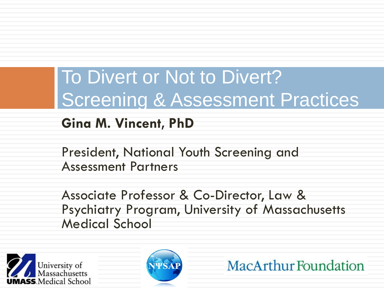## To Divert or Not to Divert? **Screening & Assessment Practices**

#### **Gina M. Vincent, PhD**

President, National Youth Screening and Assessment Partners

Associate Professor & Co-Director, Law & Psychiatry Program, University of Massachusetts Medical School





**MacArthur Foundation**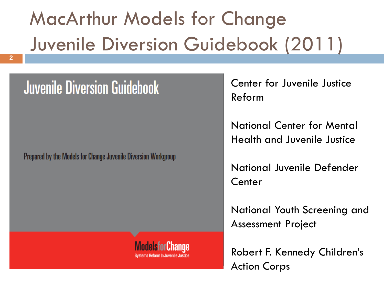# MacArthur Models for Change Juvenile Diversion Guidebook (2011)

### **Juvenile Diversion Guidebook**

**Prepared by the Models for Change Juvenile Diversion Workgroup** 

Center for Juvenile Justice Reform

National Center for Mental Health and Juvenile Justice

National Juvenile Defender **Center** 

National Youth Screening and Assessment Project

Robert F. Kennedy Children's Action Corps

**ModelsforChange**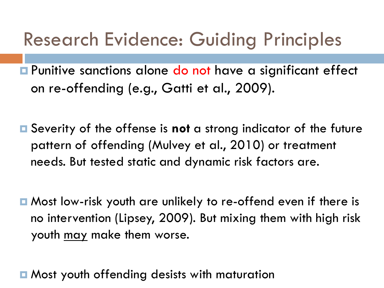## Research Evidence: Guiding Principles

**<u>E</u>** Punitive sanctions alone do not have a significant effect on re-offending (e.g., Gatti et al., 2009).

- Severity of the offense is **not** a strong indicator of the future pattern of offending (Mulvey et al., 2010) or treatment needs. But tested static and dynamic risk factors are.
- Most low-risk youth are unlikely to re-offend even if there is no intervention (Lipsey, 2009). But mixing them with high risk youth may make them worse.

**E** Most youth offending desists with maturation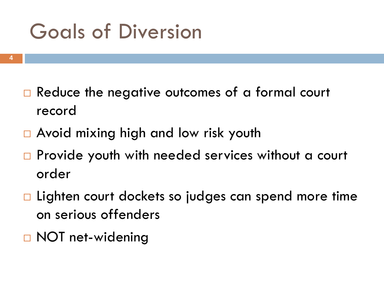# Goals of Diversion

- **4**
- $\Box$  Reduce the negative outcomes of a formal court record
- □ Avoid mixing high and low risk youth
- $\Box$  Provide youth with needed services without a court order
- $\Box$  Lighten court dockets so judges can spend more time on serious offenders
- **D** NOT net-widening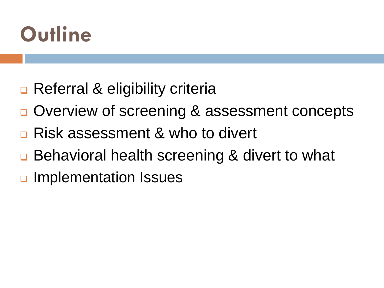

- **□ Referral & eligibility criteria**
- **□ Overview of screening & assessment concepts**
- **□ Risk assessment & who to divert**
- □ Behavioral health screening & divert to what
- **u** Implementation Issues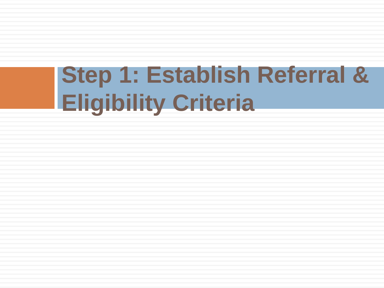# **Step 1: Establish Referral & Eligibility Criteria**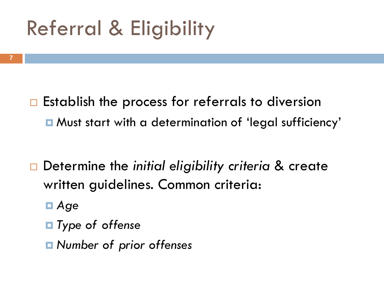# Referral & Eligibility

- $\Box$  Establish the process for referrals to diversion Must start with a determination of 'legal sufficiency'
- Determine the *initial eligibility criteria* & create written guidelines. Common criteria:
	- *Age*
	- *Type of offense*
	- *Number of prior offenses*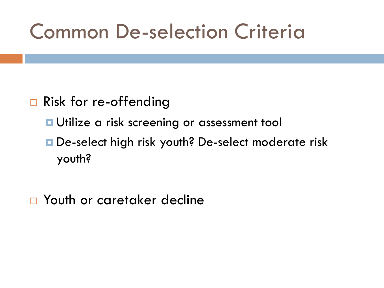# Common De-selection Criteria

#### □ Risk for re-offending

- **<u>n</u>** Utilize a risk screening or assessment tool
- De-select high risk youth? De-select moderate risk youth?
- □ Youth or caretaker decline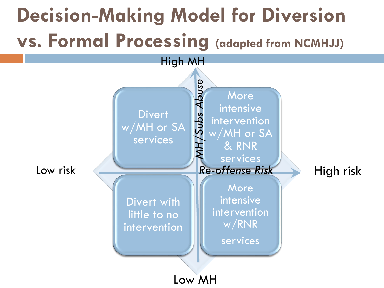# **Decision-Making Model for Diversion vs. Formal Processing (adapted from NCMHJJ)**

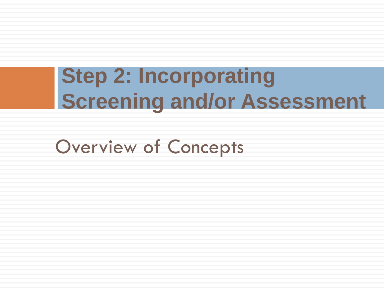# **Step 2: Incorporating Screening and/or Assessment**

Overview of Concepts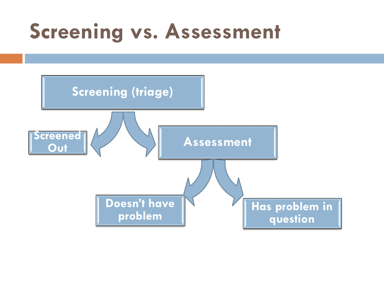# **Screening vs. Assessment**

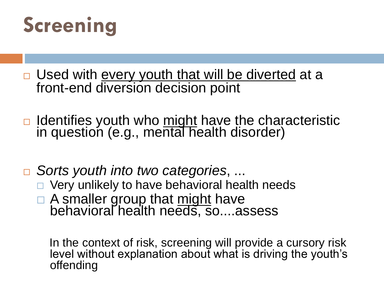

- □ Used with every youth that will be diverted at a front-end diversion decision point
- □ Identifies youth who might have the characteristic in question (e.g., mental health disorder)
- *Sorts youth into two categories*, ...
	- $\Box$  Very unlikely to have behavioral health needs
	- A smaller group that might have behavioral health needs, so....assess

In the context of risk, screening will provide a cursory risk level without explanation about what is driving the youth's offending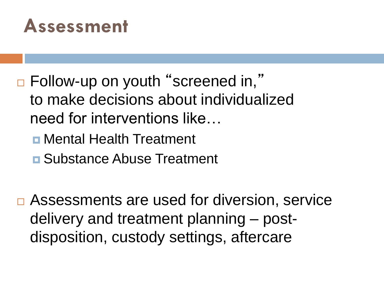## **Assessment**

- □ Follow-up on youth "screened in," to make decisions about individualized need for interventions like…
	- Mental Health Treatment
	- **<u>n</u>** Substance Abuse Treatment
- **□ Assessments are used for diversion, service** delivery and treatment planning – postdisposition, custody settings, aftercare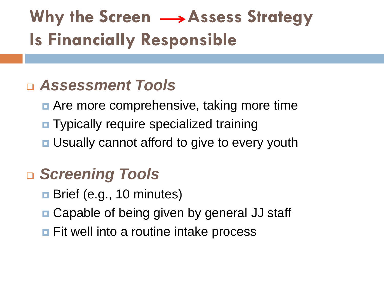## **Why the Screen**  $\longrightarrow$  **Assess Strategy Is Financially Responsible**

### *Assessment Tools*

- **E** Are more comprehensive, taking more time
- **Typically require specialized training**
- **<u>n</u>** Usually cannot afford to give to every youth

### *Screening Tools*

- **Brief (e.g., 10 minutes)**
- Capable of being given by general JJ staff
- **<u>n</u>** Fit well into a routine intake process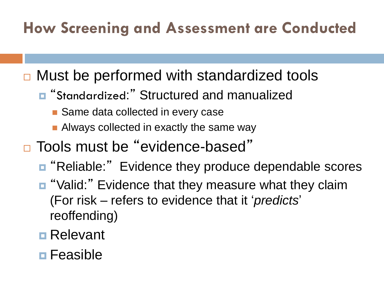### **How Screening and Assessment are Conducted**

**□ Must be performed with standardized tools** 

- "Standardized:" Structured and manualized
	- Same data collected in every case
	- **Always collected in exactly the same way**
- □ Tools must be "evidence-based"
	- **n** "Reliable:" Evidence they produce dependable scores
	- "Valid:" Evidence that they measure what they claim (For risk – refers to evidence that it '*predicts*' reoffending)
	- **□** Relevant
	- **<u>n</u>** Feasible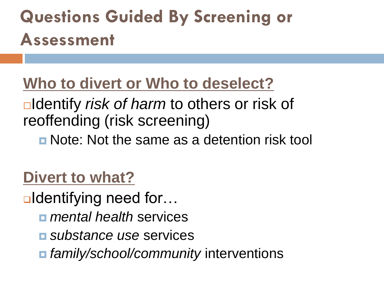## **Questions Guided By Screening or Assessment**

### **Who to divert or Who to deselect?**

Identify *risk of harm* to others or risk of reoffending (risk screening)

**n** Note: Not the same as a detention risk tool

### **Divert to what?**

**■Identifying need for…** 

- *mental health* services
- *substance use* services
- *family/school/community* interventions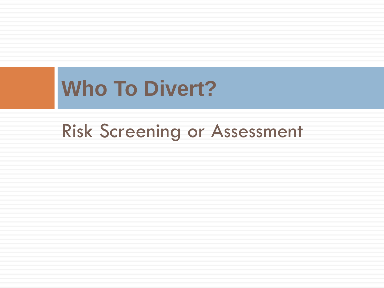# **Who To Divert?**

## Risk Screening or Assessment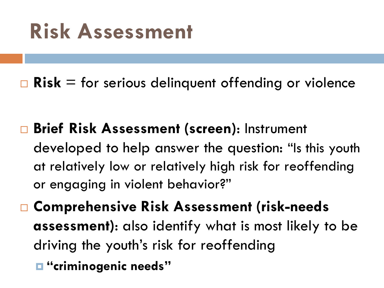# **Risk Assessment**

■ Risk = for serious delinquent offending or violence

- **Brief Risk Assessment (screen)**: Instrument developed to help answer the question: "Is this youth at relatively low or relatively high risk for reoffending or engaging in violent behavior?"
- **Comprehensive Risk Assessment (risk-needs assessment)**: also identify what is most likely to be driving the youth's risk for reoffending **"criminogenic needs"**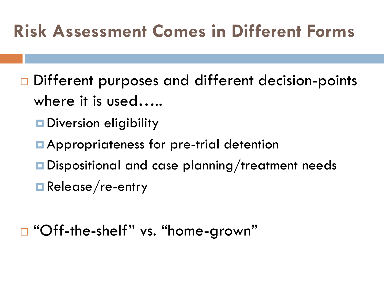## **Risk Assessment Comes in Different Forms**

- □ Different purposes and different decision-points where it is used…..
	- **Diversion eligibility**
	- **Appropriateness for pre-trial detention**
	- Dispositional and case planning/treatment needs
	- Release/re-entry
- □ "Off-the-shelf" vs. "home-grown"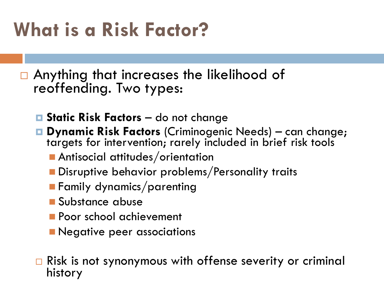# **What is a Risk Factor?**

□ Anything that increases the likelihood of reoffending. Two types:

- **Static Risk Factors**  do not change
- **Dynamic Risk Factors** (Criminogenic Needs) can change; targets for intervention; rarely included in brief risk tools
	- **Antisocial attitudes/orientation**
	- **Disruptive behavior problems/Personality traits**
	- **Family dynamics/parenting**
	- **Substance abuse**
	- **Poor school achievement**
	- **Negative peer associations**

□ Risk is not synonymous with offense severity or criminal history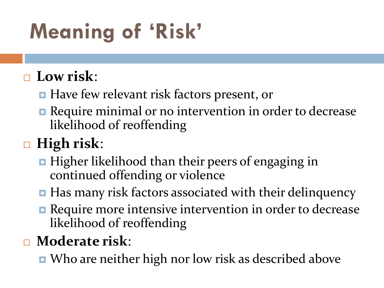# **Meaning of 'Risk'**

### **Low risk**:

- Have few relevant risk factors present, or
- **Require minimal or no intervention in order to decrease** likelihood of reoffending

### **High risk**:

- $\blacksquare$  Higher likelihood than their peers of engaging in continued offending or violence
- Has many risk factors associated with their delinquency
- **Require more intensive intervention in order to decrease** likelihood of reoffending

### **Moderate risk**:

■ Who are neither high nor low risk as described above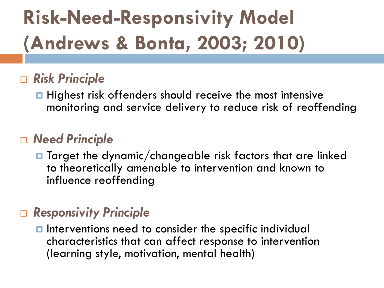# **Risk-Need-Responsivity Model (Andrews & Bonta, 2003; 2010)**

#### *Risk Principle*

**Highest risk offenders should receive the most intensive** monitoring and service delivery to reduce risk of reoffending

#### *Need Principle*

 $\blacksquare$  Target the dynamic/changeable risk factors that are linked to theoretically amenable to intervention and known to influence reoffending

#### *Responsivity Principle*

**Interventions need to consider the specific individual** characteristics that can affect response to intervention (learning style, motivation, mental health)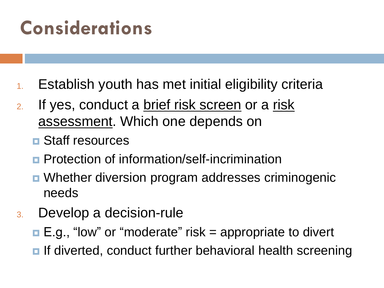## **Considerations**

- 1. Establish youth has met initial eligibility criteria
- 2. If yes, conduct a brief risk screen or a risk assessment. Which one depends on
	- **<u>n</u>** Staff resources
	- **Protection of information/self-incrimination**
	- Whether diversion program addresses criminogenic needs
- 3. Develop a decision-rule
	- $\blacksquare$  E.g., "low" or "moderate" risk = appropriate to divert
	- **If diverted, conduct further behavioral health screening**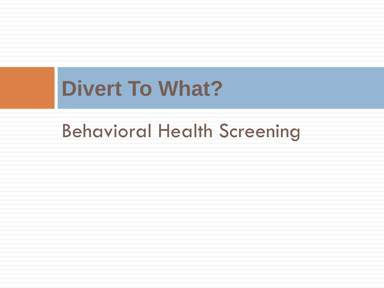# **Divert To What?**

## Behavioral Health Screening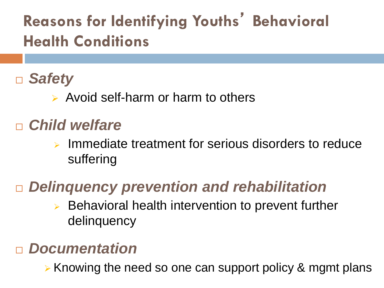### **Reasons for Identifying Youths**' **Behavioral Health Conditions**

### *Safety*

 $\triangleright$  Avoid self-harm or harm to others

### *Child welfare*

 $\triangleright$  Immediate treatment for serious disorders to reduce suffering

### *Delinquency prevention and rehabilitation*

 $\triangleright$  Behavioral health intervention to prevent further delinquency

#### *Documentation*

 $\triangleright$  Knowing the need so one can support policy & mgmt plans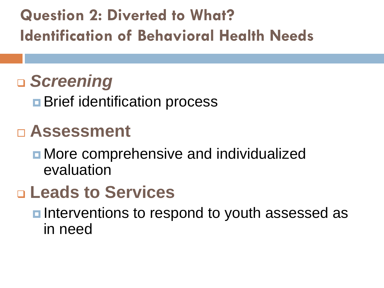**Question 2: Diverted to What? Identification of Behavioral Health Needs** 

## *Screening*

**Brief identification process** 

### **Assessment**

**n** More comprehensive and individualized evaluation

### **Leads to Services**

**<u>n</u>** Interventions to respond to youth assessed as in need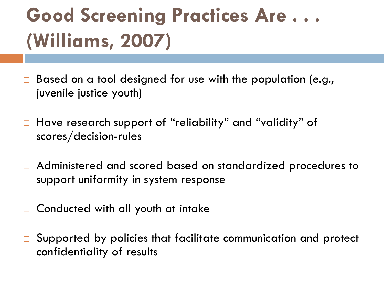# **Good Screening Practices Are . . . (Williams, 2007)**

- □ Based on a tool designed for use with the population (e.g., juvenile justice youth)
- □ Have research support of "reliability" and "validity" of scores/decision-rules
- □ Administered and scored based on standardized procedures to support uniformity in system response
- □ Conducted with all youth at intake
- $\Box$  Supported by policies that facilitate communication and protect confidentiality of results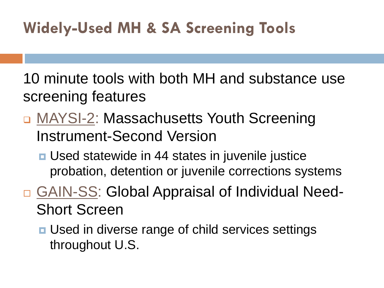### **Widely-Used MH & SA Screening Tools**

10 minute tools with both MH and substance use screening features

- MAYSI-2: Massachusetts Youth Screening Instrument-Second Version
	- **Used statewide in 44 states in juvenile justice** probation, detention or juvenile corrections systems
- □ GAIN-SS: Global Appraisal of Individual Need-Short Screen
	- **<u>n</u>** Used in diverse range of child services settings throughout U.S.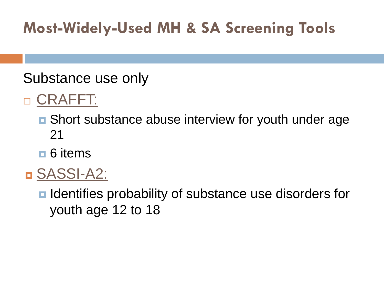### **Most-Widely-Used MH & SA Screening Tools**

#### Substance use only

### □ CRAFFT:

- Short substance abuse interview for youth under age 21
- **□ 6 items**
- SASSI-A2:

■ Identifies probability of substance use disorders for youth age 12 to 18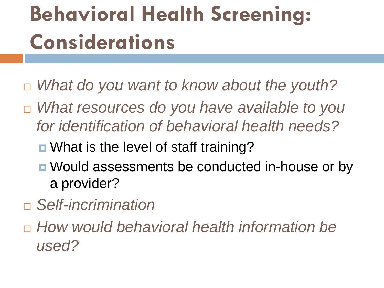# **Behavioral Health Screening: Considerations**

- *What do you want to know about the youth?*
- *What resources do you have available to you for identification of behavioral health needs?*
	- What is the level of staff training?
	- Would assessments be conducted in-house or by a provider?
- *Self-incrimination*
- *How would behavioral health information be used?*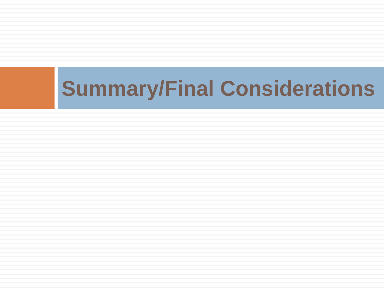# **Summary/Final Considerations**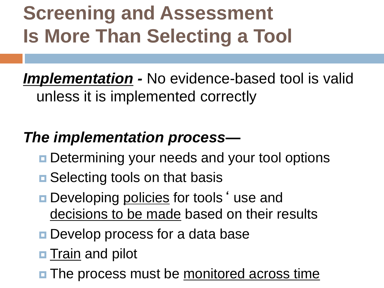# **Screening and Assessment Is More Than Selecting a Tool**

*Implementation -* No evidence-based tool is valid unless it is implemented correctly

### *The implementation process—*

- **Determining your needs and your tool options**
- **□** Selecting tools on that basis
- **Developing policies for tools 'use and** decisions to be made based on their results
- **Develop process for a data base**
- **<u>n</u>** Train and pilot
- **The process must be monitored across time**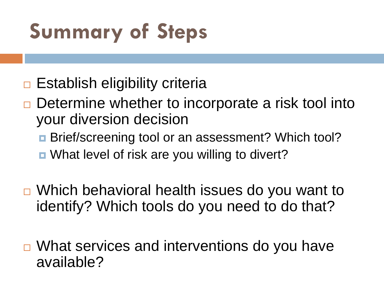# **Summary of Steps**

- $\Box$  Establish eligibility criteria
- $\Box$  Determine whether to incorporate a risk tool into your diversion decision
	- **Brief/screening tool or an assessment? Which tool?**
	- What level of risk are you willing to divert?
- □ Which behavioral health issues do you want to identify? Which tools do you need to do that?
- □ What services and interventions do you have available?